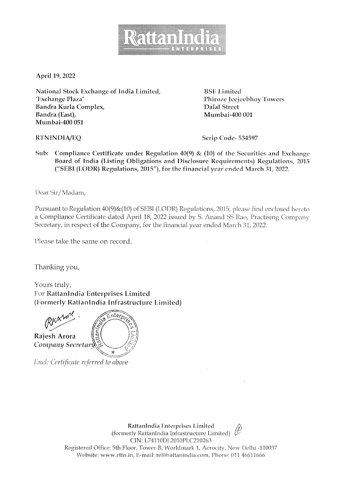

April 19, 2022

National Stock Exchange of India Limited, 'Exchange Plaza' Bandra Kurla Complex, Bandra (East), Mumbai-400 051

**BSE** Limited Phiroze Jeejeebhoy Towers **Dalal Street** Mumbai-400 001

**RTNINDIA/EQ** 

Scrip Code-534597

Sub: Compliance Certificate under Regulation 40(9) & (10) of the Securities and Exchange Board of India (Listing Obligations and Disclosure Requirements) Regulations, 2015 ("SEBI (LODR) Regulations, 2015"), for the financial year ended March 31, 2022.

Dear Sir/Madam,

Pursuant to Regulation 40(9)&(10) of SEBI (LODR) Regulations, 2015, please find enclosed hereto a Compliance Certificate dated April 18, 2022 issued by S. Anand SS Rao, Practising Company Secretary, in respect of the Company, for the financial year ended March 31, 2022.

Please take the same on record.

Thanking you,

Yours truly, For RattanIndia Enterprises Limited (Formerly RattanIndia Infrastructure Limited)

 $\widehat{\varepsilon}$ nter $\rho_{\ell}$ Rajesh Arora Company Secretary

Encl: Certificate referred to above

RattanIndia Enterprises Limited (formerly RattanIndia Infrastructure Limited) CIN: L74110DL2010PLC210263 Registered Office: 5th Floor, Tower-B, Worldmark 1, Aerocity, New Delhi -110037 Website: www.rttn.in, E-mail: rel@rattanindia.com, Phone: 011 46611666